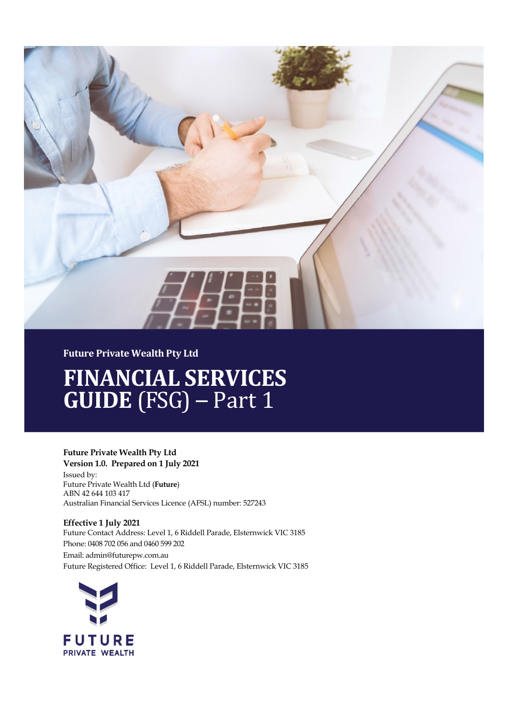

#### **Future Private Wealth Pty Ltd**

# **FINANCIAL SERVICES GUIDE** (FSG) – Part 1

#### **Future Private Wealth Pty Ltd**

**Version 1.0. Prepared on 1 July 2021** Issued by: Future Private Wealth Ltd (**Future**) ABN 42 644 103 417 Australian Financial Services Licence (AFSL) number: 527243

**Effective 1 July 2021** Future Contact Address: Level 1, 6 Riddell Parade, Elsternwick VIC 3185 Phone: 0408 702 056 and 0460 599 202 Email: admin@futurepw.com.au Future Registered Office: Level 1, 6 Riddell Parade, Elsternwick VIC 3185

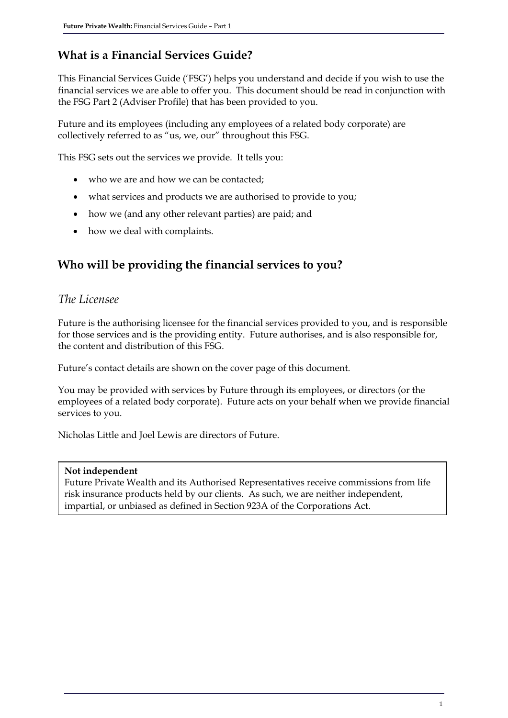# **What is a Financial Services Guide?**

This Financial Services Guide ('FSG') helps you understand and decide if you wish to use the financial services we are able to offer you. This document should be read in conjunction with the FSG Part 2 (Adviser Profile) that has been provided to you.

Future and its employees (including any employees of a related body corporate) are collectively referred to as "us, we, our" throughout this FSG.

This FSG sets out the services we provide. It tells you:

- who we are and how we can be contacted;
- what services and products we are authorised to provide to you;
- how we (and any other relevant parties) are paid; and
- how we deal with complaints.

### **Who will be providing the financial services to you?**

#### *The Licensee*

Future is the authorising licensee for the financial services provided to you, and is responsible for those services and is the providing entity. Future authorises, and is also responsible for, the content and distribution of this FSG.

Future's contact details are shown on the cover page of this document.

You may be provided with services by Future through its employees, or directors (or the employees of a related body corporate). Future acts on your behalf when we provide financial services to you.

Nicholas Little and Joel Lewis are directors of Future.

#### **Not independent**

Future Private Wealth and its Authorised Representatives receive commissions from life risk insurance products held by our clients. As such, we are neither independent, impartial, or unbiased as defined in Section 923A of the Corporations Act.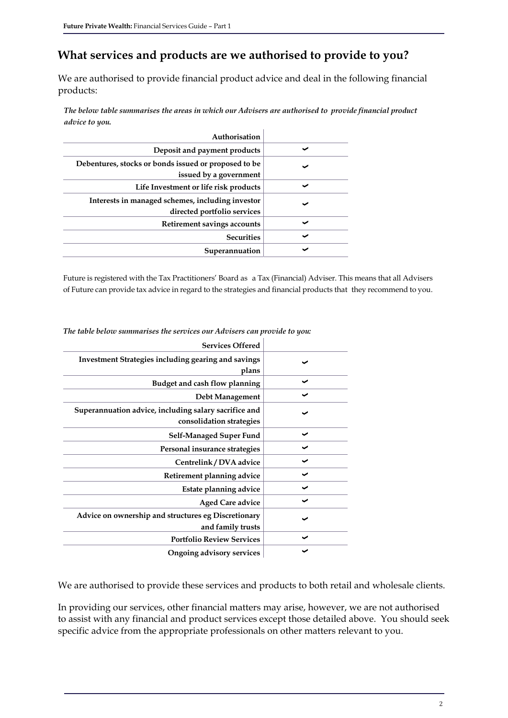### **What services and products are we authorised to provide to you?**

We are authorised to provide financial product advice and deal in the following financial products:

*The below table summarises the areas in which our Advisers are authorised to provide financial product advice to you.*

| Authorisation                                                                   |  |
|---------------------------------------------------------------------------------|--|
| Deposit and payment products                                                    |  |
| Debentures, stocks or bonds issued or proposed to be<br>issued by a government  |  |
| Life Investment or life risk products                                           |  |
| Interests in managed schemes, including investor<br>directed portfolio services |  |
| Retirement savings accounts                                                     |  |
| <b>Securities</b>                                                               |  |
| Superannuation                                                                  |  |

Future is registered with the Tax Practitioners' Board as a Tax (Financial) Adviser. This means that all Advisers of Future can provide tax advice in regard to the strategies and financial products that they recommend to you.

| <b>Services Offered</b>                                                           |   |
|-----------------------------------------------------------------------------------|---|
| <b>Investment Strategies including gearing and savings</b><br>plans               |   |
| Budget and cash flow planning                                                     | ັ |
| Debt Management                                                                   |   |
| Superannuation advice, including salary sacrifice and<br>consolidation strategies |   |
| Self-Managed Super Fund                                                           | ✔ |
| Personal insurance strategies                                                     |   |
| Centrelink / DVA advice                                                           |   |
| Retirement planning advice                                                        |   |
| Estate planning advice                                                            |   |
| <b>Aged Care advice</b>                                                           |   |
| Advice on ownership and structures eg Discretionary<br>and family trusts          |   |
| <b>Portfolio Review Services</b>                                                  |   |
| Ongoing advisory services                                                         |   |

*The table below summarises the services our Advisers can provide to you:* 

We are authorised to provide these services and products to both retail and wholesale clients.

In providing our services, other financial matters may arise, however, we are not authorised to assist with any financial and product services except those detailed above. You should seek specific advice from the appropriate professionals on other matters relevant to you.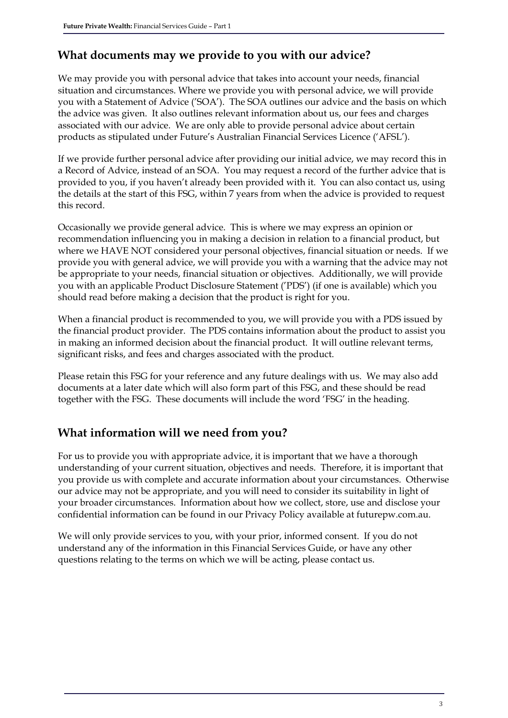#### **What documents may we provide to you with our advice?**

We may provide you with personal advice that takes into account your needs, financial situation and circumstances. Where we provide you with personal advice, we will provide you with a Statement of Advice ('SOA'). The SOA outlines our advice and the basis on which the advice was given. It also outlines relevant information about us, our fees and charges associated with our advice. We are only able to provide personal advice about certain products as stipulated under Future's Australian Financial Services Licence ('AFSL').

If we provide further personal advice after providing our initial advice, we may record this in a Record of Advice, instead of an SOA. You may request a record of the further advice that is provided to you, if you haven't already been provided with it. You can also contact us, using the details at the start of this FSG, within 7 years from when the advice is provided to request this record.

Occasionally we provide general advice. This is where we may express an opinion or recommendation influencing you in making a decision in relation to a financial product, but where we HAVE NOT considered your personal objectives, financial situation or needs. If we provide you with general advice, we will provide you with a warning that the advice may not be appropriate to your needs, financial situation or objectives. Additionally, we will provide you with an applicable Product Disclosure Statement ('PDS') (if one is available) which you should read before making a decision that the product is right for you.

When a financial product is recommended to you, we will provide you with a PDS issued by the financial product provider. The PDS contains information about the product to assist you in making an informed decision about the financial product. It will outline relevant terms, significant risks, and fees and charges associated with the product.

Please retain this FSG for your reference and any future dealings with us. We may also add documents at a later date which will also form part of this FSG, and these should be read together with the FSG. These documents will include the word 'FSG' in the heading.

#### **What information will we need from you?**

For us to provide you with appropriate advice, it is important that we have a thorough understanding of your current situation, objectives and needs. Therefore, it is important that you provide us with complete and accurate information about your circumstances. Otherwise our advice may not be appropriate, and you will need to consider its suitability in light of your broader circumstances. Information about how we collect, store, use and disclose your confidential information can be found in our Privacy Policy available at futurepw.com.au.

We will only provide services to you, with your prior, informed consent. If you do not understand any of the information in this Financial Services Guide, or have any other questions relating to the terms on which we will be acting, please contact us.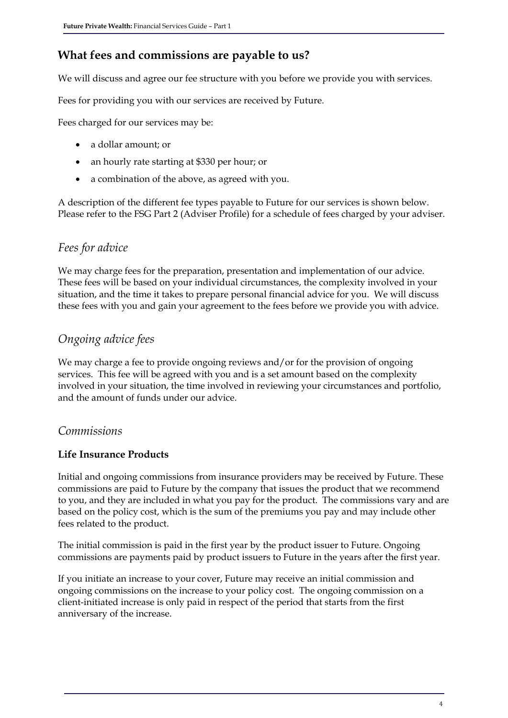# **What fees and commissions are payable to us?**

We will discuss and agree our fee structure with you before we provide you with services.

Fees for providing you with our services are received by Future.

Fees charged for our services may be:

- a dollar amount; or
- an hourly rate starting at \$330 per hour; or
- a combination of the above, as agreed with you.

A description of the different fee types payable to Future for our services is shown below. Please refer to the FSG Part 2 (Adviser Profile) for a schedule of fees charged by your adviser.

#### *Fees for advice*

We may charge fees for the preparation, presentation and implementation of our advice. These fees will be based on your individual circumstances, the complexity involved in your situation, and the time it takes to prepare personal financial advice for you. We will discuss these fees with you and gain your agreement to the fees before we provide you with advice.

### *Ongoing advice fees*

We may charge a fee to provide ongoing reviews and/or for the provision of ongoing services. This fee will be agreed with you and is a set amount based on the complexity involved in your situation, the time involved in reviewing your circumstances and portfolio, and the amount of funds under our advice.

#### *Commissions*

#### **Life Insurance Products**

Initial and ongoing commissions from insurance providers may be received by Future. These commissions are paid to Future by the company that issues the product that we recommend to you, and they are included in what you pay for the product. The commissions vary and are based on the policy cost, which is the sum of the premiums you pay and may include other fees related to the product.

The initial commission is paid in the first year by the product issuer to Future. Ongoing commissions are payments paid by product issuers to Future in the years after the first year.

If you initiate an increase to your cover, Future may receive an initial commission and ongoing commissions on the increase to your policy cost. The ongoing commission on a client-initiated increase is only paid in respect of the period that starts from the first anniversary of the increase.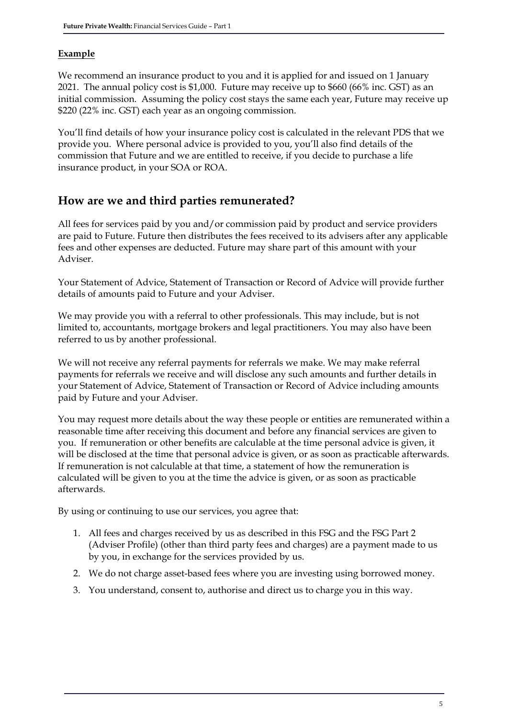#### **Example**

We recommend an insurance product to you and it is applied for and issued on 1 January 2021. The annual policy cost is \$1,000. Future may receive up to \$660 (66% inc. GST) as an initial commission. Assuming the policy cost stays the same each year, Future may receive up \$220 (22% inc. GST) each year as an ongoing commission.

You'll find details of how your insurance policy cost is calculated in the relevant PDS that we provide you. Where personal advice is provided to you, you'll also find details of the commission that Future and we are entitled to receive, if you decide to purchase a life insurance product, in your SOA or ROA.

#### **How are we and third parties remunerated?**

All fees for services paid by you and/or commission paid by product and service providers are paid to Future. Future then distributes the fees received to its advisers after any applicable fees and other expenses are deducted. Future may share part of this amount with your Adviser.

Your Statement of Advice, Statement of Transaction or Record of Advice will provide further details of amounts paid to Future and your Adviser.

We may provide you with a referral to other professionals. This may include, but is not limited to, accountants, mortgage brokers and legal practitioners. You may also have been referred to us by another professional.

We will not receive any referral payments for referrals we make. We may make referral payments for referrals we receive and will disclose any such amounts and further details in your Statement of Advice, Statement of Transaction or Record of Advice including amounts paid by Future and your Adviser.

You may request more details about the way these people or entities are remunerated within a reasonable time after receiving this document and before any financial services are given to you. If remuneration or other benefits are calculable at the time personal advice is given, it will be disclosed at the time that personal advice is given, or as soon as practicable afterwards. If remuneration is not calculable at that time, a statement of how the remuneration is calculated will be given to you at the time the advice is given, or as soon as practicable afterwards.

By using or continuing to use our services, you agree that:

- 1. All fees and charges received by us as described in this FSG and the FSG Part 2 (Adviser Profile) (other than third party fees and charges) are a payment made to us by you, in exchange for the services provided by us.
- 2. We do not charge asset-based fees where you are investing using borrowed money.
- 3. You understand, consent to, authorise and direct us to charge you in this way.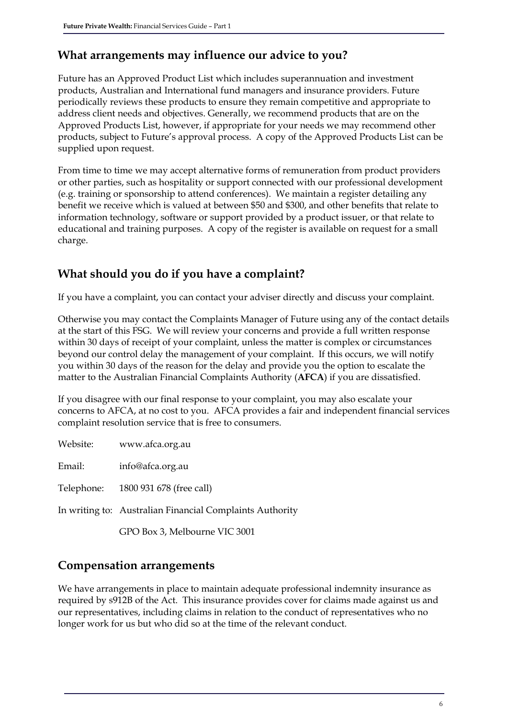#### **What arrangements may influence our advice to you?**

Future has an Approved Product List which includes superannuation and investment products, Australian and International fund managers and insurance providers. Future periodically reviews these products to ensure they remain competitive and appropriate to address client needs and objectives. Generally, we recommend products that are on the Approved Products List, however, if appropriate for your needs we may recommend other products, subject to Future's approval process. A copy of the Approved Products List can be supplied upon request.

From time to time we may accept alternative forms of remuneration from product providers or other parties, such as hospitality or support connected with our professional development (e.g. training or sponsorship to attend conferences). We maintain a register detailing any benefit we receive which is valued at between \$50 and \$300, and other benefits that relate to information technology, software or support provided by a product issuer, or that relate to educational and training purposes. A copy of the register is available on request for a small charge.

#### **What should you do if you have a complaint?**

If you have a complaint, you can contact your adviser directly and discuss your complaint.

Otherwise you may contact the Complaints Manager of Future using any of the contact details at the start of this FSG. We will review your concerns and provide a full written response within 30 days of receipt of your complaint, unless the matter is complex or circumstances beyond our control delay the management of your complaint. If this occurs, we will notify you within 30 days of the reason for the delay and provide you the option to escalate the matter to the Australian Financial Complaints Authority (**AFCA**) if you are dissatisfied.

If you disagree with our final response to your complaint, you may also escalate your concerns to AFCA, at no cost to you. AFCA provides a fair and independent financial services complaint resolution service that is free to consumers.

| Website: | www.afca.org.au                                          |
|----------|----------------------------------------------------------|
| Email:   | info@afca.org.au                                         |
|          | Telephone: 1800 931 678 (free call)                      |
|          | In writing to: Australian Financial Complaints Authority |
|          | GPO Box 3, Melbourne VIC 3001                            |

#### **Compensation arrangements**

We have arrangements in place to maintain adequate professional indemnity insurance as required by s912B of the Act. This insurance provides cover for claims made against us and our representatives, including claims in relation to the conduct of representatives who no longer work for us but who did so at the time of the relevant conduct.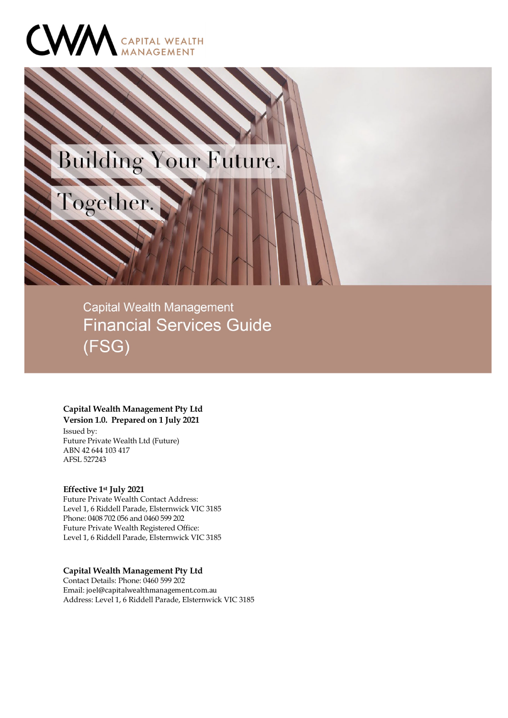

Together.

# Building Your Future.

**Capital Wealth Management Financial Services Guide**  $(FSG)$ 

#### **Capital Wealth Management Pty Ltd**

**Version 1.0. Prepared on 1 July 2021** Issued by: Future Private Wealth Ltd (Future) ABN 42 644 103 417

#### **Effective 1st July 2021**

AFSL 527243

Future Private Wealth Contact Address: Level 1, 6 Riddell Parade, Elsternwick VIC 3185 Phone: 0408 702 056 and 0460 599 202 Future Private Wealth Registered Office: Level 1, 6 Riddell Parade, Elsternwick VIC 3185

**Capital Wealth Management Pty Ltd** Contact Details: Phone: 0460 599 202 Email: joel@capitalwealthmanagement.com.au Address: Level 1, 6 Riddell Parade, Elsternwick VIC 3185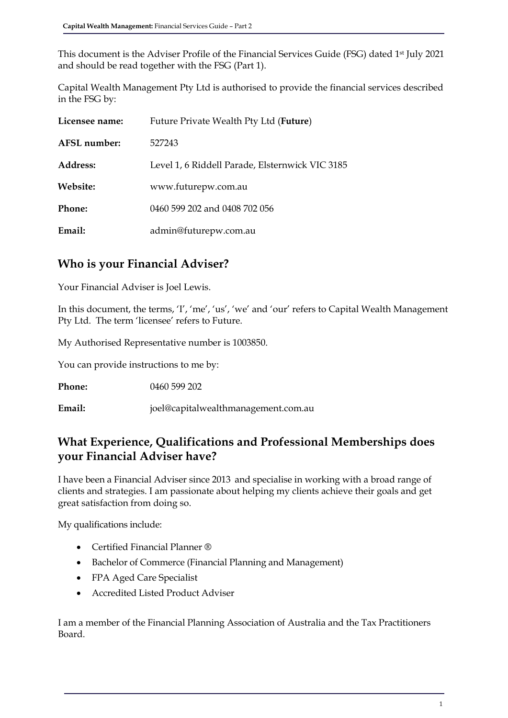This document is the Adviser Profile of the Financial Services Guide (FSG) dated 1st July 2021 and should be read together with the FSG (Part 1).

Capital Wealth Management Pty Ltd is authorised to provide the financial services described in the FSG by:

| Licensee name: | Future Private Wealth Pty Ltd (Future)          |
|----------------|-------------------------------------------------|
| AFSL number:   | 527243                                          |
| Address:       | Level 1, 6 Riddell Parade, Elsternwick VIC 3185 |
| Website:       | www.futurepw.com.au                             |
| Phone:         | 0460 599 202 and 0408 702 056                   |
| Email:         | admin@futurepw.com.au                           |

#### **Who is your Financial Adviser?**

Your Financial Adviser is Joel Lewis.

In this document, the terms, 'I', 'me', 'us', 'we' and 'our' refers to Capital Wealth Management Pty Ltd. The term 'licensee' refers to Future.

My Authorised Representative number is 1003850.

You can provide instructions to me by:

**Phone:** 0460 599 202

**Email:** joel@capitalwealthmanagement.com.au

#### **What Experience, Qualifications and Professional Memberships does your Financial Adviser have?**

I have been a Financial Adviser since 2013 and specialise in working with a broad range of clients and strategies. I am passionate about helping my clients achieve their goals and get great satisfaction from doing so.

My qualifications include:

- Certified Financial Planner ®
- Bachelor of Commerce (Financial Planning and Management)
- FPA Aged Care Specialist
- Accredited Listed Product Adviser

I am a member of the Financial Planning Association of Australia and the Tax Practitioners Board.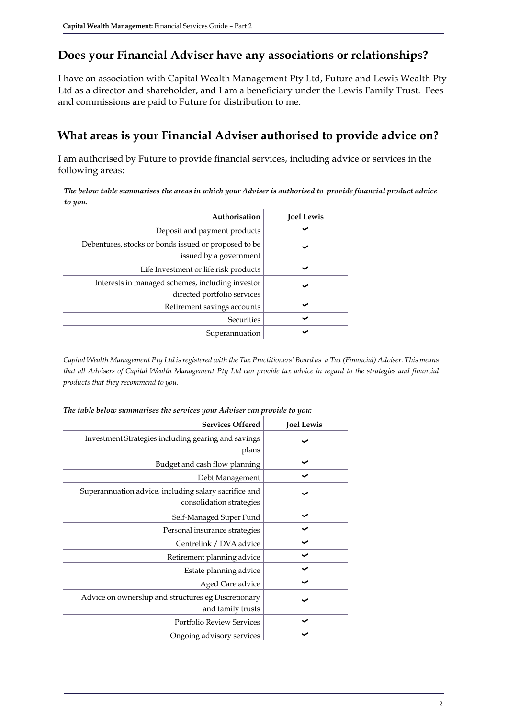### **Does your Financial Adviser have any associations or relationships?**

I have an association with Capital Wealth Management Pty Ltd, Future and Lewis Wealth Pty Ltd as a director and shareholder, and I am a beneficiary under the Lewis Family Trust. Fees and commissions are paid to Future for distribution to me.

#### **What areas is your Financial Adviser authorised to provide advice on?**

I am authorised by Future to provide financial services, including advice or services in the following areas:

*The below table summarises the areas in which your Adviser is authorised to provide financial product advice to you.*

| Authorisation                                                                   | <b>Joel Lewis</b> |
|---------------------------------------------------------------------------------|-------------------|
| Deposit and payment products                                                    |                   |
| Debentures, stocks or bonds issued or proposed to be<br>issued by a government  |                   |
| Life Investment or life risk products                                           | $\checkmark$      |
| Interests in managed schemes, including investor<br>directed portfolio services | $\checkmark$      |
| Retirement savings accounts                                                     | ັ                 |
| Securities                                                                      | ັ                 |
| Superannuation                                                                  |                   |

*Capital Wealth Management Pty Ltd is registered with the Tax Practitioners' Board as a Tax (Financial) Adviser. This means that all Advisers of Capital Wealth Management Pty Ltd can provide tax advice in regard to the strategies and financial products that they recommend to you.* 

| <b>Services Offered</b>                                                           | <b>Joel Lewis</b> |
|-----------------------------------------------------------------------------------|-------------------|
| Investment Strategies including gearing and savings<br>plans                      |                   |
| Budget and cash flow planning                                                     | ✓                 |
| Debt Management                                                                   |                   |
| Superannuation advice, including salary sacrifice and<br>consolidation strategies |                   |
| Self-Managed Super Fund                                                           |                   |
| Personal insurance strategies                                                     |                   |
| Centrelink / DVA advice                                                           |                   |
| Retirement planning advice                                                        |                   |
| Estate planning advice                                                            |                   |
| Aged Care advice                                                                  |                   |
| Advice on ownership and structures eg Discretionary<br>and family trusts          |                   |
| <b>Portfolio Review Services</b>                                                  |                   |
| Ongoing advisory services                                                         |                   |

#### *The table below summarises the services your Adviser can provide to you:*